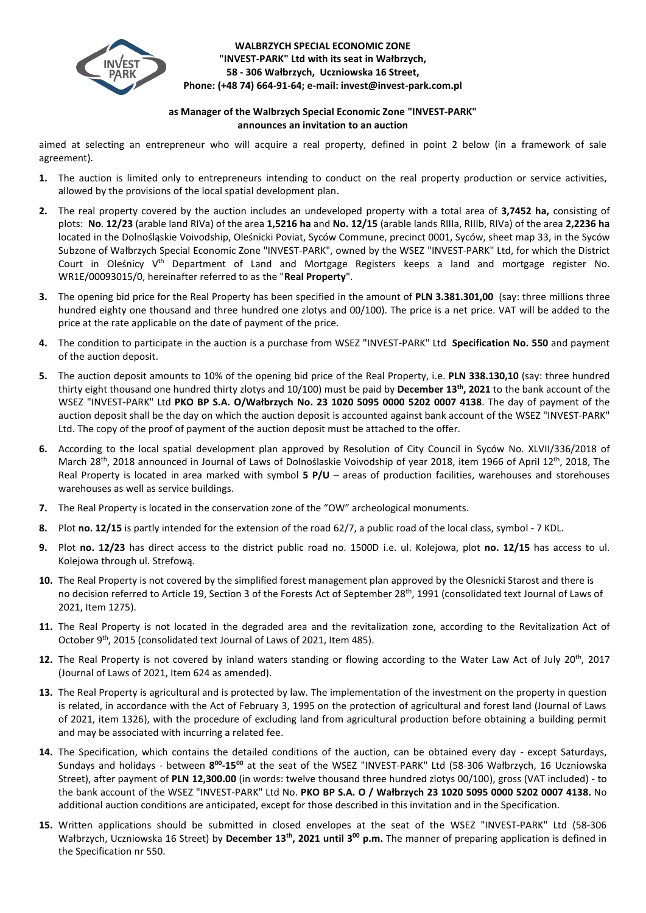

## **WALBRZYCH SPECIAL ECONOMIC ZONE "INVEST-PARK" Ltd with its seat in Wałbrzych, 58 - 306 Wałbrzych, Uczniowska 16 Street, Phone: (+48 74) 664-91-64; e-mail: invest@invest-park.com.pl**

## **as Manager of the Walbrzych Special Economic Zone "INVEST-PARK" announces an invitation to an auction**

aimed at selecting an entrepreneur who will acquire a real property, defined in point 2 below (in a framework of sale agreement).

- **1.** The auction is limited only to entrepreneurs intending to conduct on the real property production or service activities, allowed by the provisions of the local spatial development plan.
- **2.** The real property covered by the auction includes an undeveloped property with a total area of **3,7452 ha,** consisting of plots: **No**. **12/23** (arable land RIVa) of the area **1,5216 ha** and **No. 12/15** (arable lands RIIIa, RIIIb, RIVa) of the area **2,2236 ha** located in the Dolnośląskie Voivodship, Oleśnicki Poviat, Syców Commune, precinct 0001, Syców, sheet map 33, in the Syców Subzone of Wałbrzych Special Economic Zone "INVEST-PARK", owned by the WSEZ "INVEST-PARK" Ltd, for which the District Court in Oleśnicy V<sup>th</sup> Department of Land and Mortgage Registers keeps a land and mortgage register No. WR1E/00093015/0, hereinafter referred to as the "**Real Property**".
- **3.** The opening bid price for the Real Property has been specified in the amount of **PLN 3.381.301,00** (say: three millions three hundred eighty one thousand and three hundred one zlotys and 00/100). The price is a net price. VAT will be added to the price at the rate applicable on the date of payment of the price.
- **4.** The condition to participate in the auction is a purchase from WSEZ "INVEST-PARK" Ltd **Specification No. 550** and payment of the auction deposit.
- **5.** The auction deposit amounts to 10% of the opening bid price of the Real Property, i.e. **PLN 338.130,10** (say: three hundred thirty eight thousand one hundred thirty zlotys and 10/100) must be paid by **December 13th, 2021** to the bank account of the WSEZ "INVEST-PARK" Ltd **PKO BP S.A. O/Wałbrzych No. 23 1020 5095 0000 5202 0007 4138**. The day of payment of the auction deposit shall be the day on which the auction deposit is accounted against bank account of the WSEZ "INVEST-PARK" Ltd. The copy of the proof of payment of the auction deposit must be attached to the offer.
- **6.** According to the local spatial development plan approved by Resolution of City Council in Syców No. XLVII/336/2018 of March 28<sup>th</sup>, 2018 announced in Journal of Laws of Dolnoślaskie Voivodship of year 2018, item 1966 of April 12<sup>th</sup>, 2018, The Real Property is located in area marked with symbol **5 P/U** – areas of production facilities, warehouses and storehouses warehouses as well as service buildings.
- **7.** The Real Property is located in the conservation zone of the "OW" archeological monuments.
- **8.** Plot **no. 12/15** is partly intended for the extension of the road 62/7, a public road of the local class, symbol 7 KDL.
- **9.** Plot **no. 12/23** has direct access to the district public road no. 1500D i.e. ul. Kolejowa, plot **no. 12/15** has access to ul. Kolejowa through ul. Strefową.
- **10.** The Real Property is not covered by the simplified forest management plan approved by the Olesnicki Starost and there is no decision referred to Article 19, Section 3 of the Forests Act of September 28<sup>th</sup>, 1991 (consolidated text Journal of Laws of 2021, Item 1275).
- **11.** The Real Property is not located in the degraded area and the revitalization zone, according to the Revitalization Act of October 9<sup>th</sup>, 2015 (consolidated text Journal of Laws of 2021, Item 485).
- 12. The Real Property is not covered by inland waters standing or flowing according to the Water Law Act of July 20<sup>th</sup>, 2017 (Journal of Laws of 2021, Item 624 as amended).
- **13.** The Real Property is agricultural and is protected by law. The implementation of the investment on the property in question is related, in accordance with the Act of February 3, 1995 on the protection of agricultural and forest land (Journal of Laws of 2021, item 1326), with the procedure of excluding land from agricultural production before obtaining a building permit and may be associated with incurring a related fee.
- **14.** The Specification, which contains the detailed conditions of the auction, can be obtained every day except Saturdays, Sundays and holidays - between 8<sup>00</sup>-15<sup>00</sup> at the seat of the WSEZ "INVEST-PARK" Ltd (58-306 Wałbrzych, 16 Uczniowska Street), after payment of **PLN 12,300.00** (in words: twelve thousand three hundred zlotys 00/100), gross (VAT included) - to the bank account of the WSEZ "INVEST-PARK" Ltd No. **PKO BP S.A. O / Wałbrzych 23 1020 5095 0000 5202 0007 4138.** No additional auction conditions are anticipated, except for those described in this invitation and in the Specification.
- **15.** Written applications should be submitted in closed envelopes at the seat of the WSEZ "INVEST-PARK" Ltd (58-306 Wałbrzych, Uczniowska 16 Street) by December 13<sup>th</sup>, 2021 until 3<sup>00</sup> p.m. The manner of preparing application is defined in the Specification nr 550.